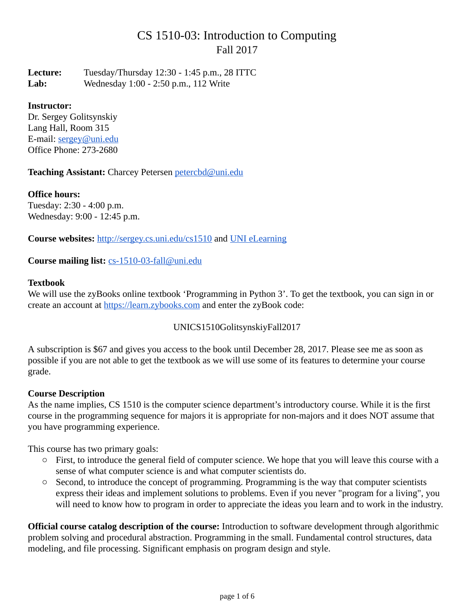# CS 1510-03: Introduction to Computing Fall 2017

**Lecture:** Tuesday/Thursday 12:30 - 1:45 p.m., 28 ITTC **Lab:** Wednesday 1:00 - 2:50 p.m., 112 Write

## **Instructor:**

Dr. Sergey Golitsynskiy Lang Hall, Room 315 E-mail: [sergey@uni.edu](mailto:sergey@uni.edu) Office Phone: 273-2680

**Teaching Assistant:** Charcey Petersen [petercbd@uni.edu](mailto:petercbd@uni.edu)

**Office hours:** Tuesday: 2:30 - 4:00 p.m. Wednesday: 9:00 - 12:45 p.m.

**Course websites:** <http://sergey.cs.uni.edu/cs1510> and [UNI eLearning](https://bb9.uni.edu/)

## **Course mailing list:** [cs-1510-03-fall@uni.edu](mailto:cs-1510-03-fall@uni.edu)

#### **Textbook**

We will use the zyBooks online textbook 'Programming in Python 3'. To get the textbook, you can sign in or create an account at [https://learn.zybooks.com](https://learn.zybooks.com/) and enter the zyBook code:

UNICS1510GolitsynskiyFall2017

A subscription is \$67 and gives you access to the book until December 28, 2017. Please see me as soon as possible if you are not able to get the textbook as we will use some of its features to determine your course grade.

## **Course Description**

As the name implies, CS 1510 is the computer science department's introductory course. While it is the first course in the programming sequence for majors it is appropriate for non-majors and it does NOT assume that you have programming experience.

This course has two primary goals:

- First, to introduce the general field of computer science. We hope that you will leave this course with a sense of what computer science is and what computer scientists do.
- Second, to introduce the concept of programming. Programming is the way that computer scientists express their ideas and implement solutions to problems. Even if you never "program for a living", you will need to know how to program in order to appreciate the ideas you learn and to work in the industry.

**Official course catalog description of the course:** Introduction to software development through algorithmic problem solving and procedural abstraction. Programming in the small. Fundamental control structures, data modeling, and file processing. Significant emphasis on program design and style.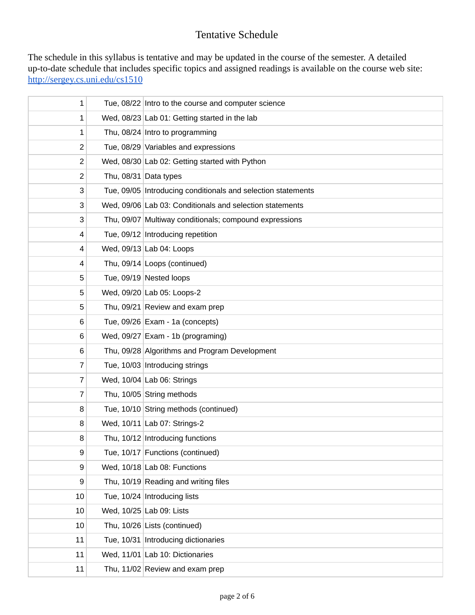## Tentative Schedule

The schedule in this syllabus is tentative and may be updated in the course of the semester. A detailed up-to-date schedule that includes specific topics and assigned readings is available on the course web site: <http://sergey.cs.uni.edu/cs1510>

| 1  | Tue, 08/22 Intro to the course and computer science          |
|----|--------------------------------------------------------------|
| 1  | Wed, 08/23 Lab 01: Getting started in the lab                |
| 1  | Thu, 08/24 Intro to programming                              |
| 2  | Tue, 08/29 Variables and expressions                         |
| 2  | Wed, 08/30 Lab 02: Getting started with Python               |
| 2  | Thu, $08/31$ Data types                                      |
| 3  | Tue, 09/05 Introducing conditionals and selection statements |
| 3  | Wed, 09/06 Lab 03: Conditionals and selection statements     |
| 3  | Thu, 09/07 Multiway conditionals; compound expressions       |
| 4  | Tue, 09/12   Introducing repetition                          |
| 4  | Wed, $09/13$ Lab 04: Loops                                   |
| 4  | Thu, 09/14 Loops (continued)                                 |
| 5  | Tue, 09/19 Nested loops                                      |
| 5  | Wed, 09/20 Lab 05: Loops-2                                   |
| 5  | Thu, $09/21$ Review and exam prep                            |
| 6  | Tue, $09/26$ Exam - 1a (concepts)                            |
| 6  | Wed, $09/27$ Exam - 1b (programing)                          |
| 6  | Thu, 09/28 Algorithms and Program Development                |
| 7  | Tue, 10/03 Introducing strings                               |
| 7  | Wed, $10/04$ Lab 06: Strings                                 |
| 7  | Thu, 10/05 String methods                                    |
| 8  | Tue, 10/10 String methods (continued)                        |
| 8  | Wed, 10/11 Lab 07: Strings-2                                 |
| 8  | Thu, 10/12 Introducing functions                             |
| 9  | Tue, 10/17 Functions (continued)                             |
| 9  | Wed, $10/18$ Lab 08: Functions                               |
| 9  | Thu, 10/19 Reading and writing files                         |
| 10 | Tue, 10/24 Introducing lists                                 |
| 10 | Wed, 10/25 Lab 09: Lists                                     |
| 10 | Thu, 10/26 Lists (continued)                                 |
| 11 | Tue, 10/31 Introducing dictionaries                          |
| 11 | Wed, 11/01 Lab 10: Dictionaries                              |
| 11 | Thu, 11/02 Review and exam prep                              |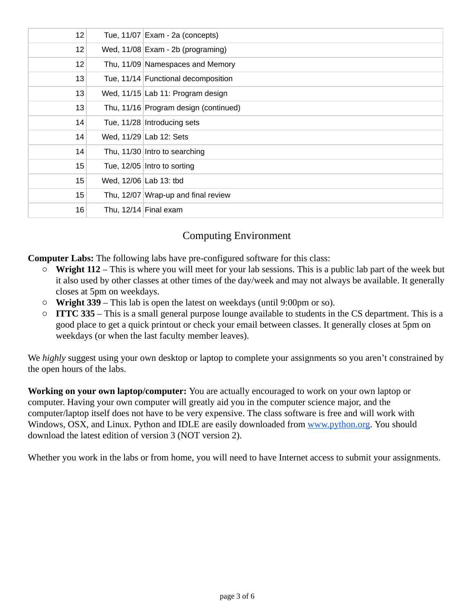| 12 | Tue, $11/07$ Exam - 2a (concepts)     |
|----|---------------------------------------|
| 12 | Wed, $11/08$ Exam - 2b (programing)   |
| 12 | Thu, 11/09 Namespaces and Memory      |
| 13 | Tue, 11/14 Functional decomposition   |
| 13 | Wed, 11/15 Lab 11: Program design     |
| 13 | Thu, 11/16 Program design (continued) |
| 14 | Tue, 11/28 Introducing sets           |
| 14 | Wed, $11/29$ Lab 12: Sets             |
| 14 | Thu, 11/30 Intro to searching         |
| 15 | Tue, $12/05$ Intro to sorting         |
| 15 | Wed, 12/06 Lab 13: tbd                |
| 15 | Thu, 12/07 Wrap-up and final review   |
| 16 | Thu, $12/14$ Final exam               |

## Computing Environment

**Computer Labs:** The following labs have pre-configured software for this class:

- **Wright 112**  This is where you will meet for your lab sessions. This is a public lab part of the week but it also used by other classes at other times of the day/week and may not always be available. It generally closes at 5pm on weekdays.
- **Wright 339**  This lab is open the latest on weekdays (until 9:00pm or so).
- **ITTC 335**  This is a small general purpose lounge available to students in the CS department. This is a good place to get a quick printout or check your email between classes. It generally closes at 5pm on weekdays (or when the last faculty member leaves).

We *highly* suggest using your own desktop or laptop to complete your assignments so you aren't constrained by the open hours of the labs.

**Working on your own laptop/computer:** You are actually encouraged to work on your own laptop or computer. Having your own computer will greatly aid you in the computer science major, and the computer/laptop itself does not have to be very expensive. The class software is free and will work with Windows, OSX, and Linux. Python and IDLE are easily downloaded from [www.python.org](http://www.python.org/). You should download the latest edition of version 3 (NOT version 2).

Whether you work in the labs or from home, you will need to have Internet access to submit your assignments.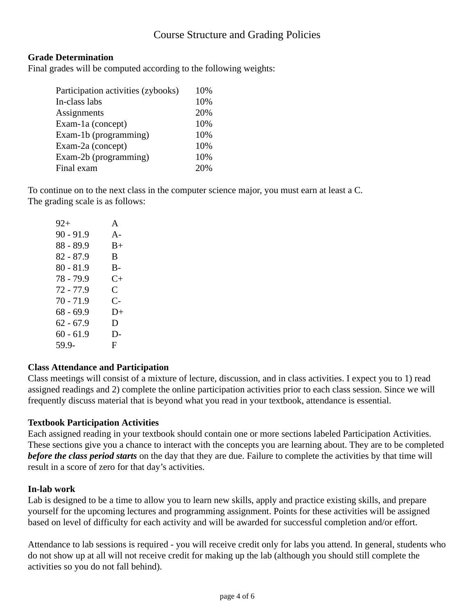## Course Structure and Grading Policies

## **Grade Determination**

Final grades will be computed according to the following weights:

| Participation activities (zybooks) | 10% |
|------------------------------------|-----|
| In-class labs                      | 10% |
| <b>Assignments</b>                 | 20% |
| Exam-1a (concept)                  | 10% |
| Exam-1b (programming)              | 10% |
| Exam-2a (concept)                  | 10% |
| Exam-2b (programming)              | 10% |
| Final exam                         | 20% |

To continue on to the next class in the computer science major, you must earn at least a C. The grading scale is as follows:

| 92+         | A         |
|-------------|-----------|
| 90 - 91.9   | $A -$     |
| 88 - 89.9   | B+        |
| 82 - 87.9   | B         |
| $80 - 81.9$ | B-        |
| 78 - 79.9   | $C_{\pm}$ |
| 72 - 77.9   | C         |
| $70 - 71.9$ | С-        |
| 68 - 69.9   | $D+$      |
| 62 - 67.9   | D         |
| 60 - 61.9   | D-        |
| 59.9-       | F         |
|             |           |

## **Class Attendance and Participation**

Class meetings will consist of a mixture of lecture, discussion, and in class activities. I expect you to 1) read assigned readings and 2) complete the online participation activities prior to each class session. Since we will frequently discuss material that is beyond what you read in your textbook, attendance is essential.

## **Textbook Participation Activities**

Each assigned reading in your textbook should contain one or more sections labeled Participation Activities. These sections give you a chance to interact with the concepts you are learning about. They are to be completed *before the class period starts* on the day that they are due. Failure to complete the activities by that time will result in a score of zero for that day's activities.

#### **In-lab work**

Lab is designed to be a time to allow you to learn new skills, apply and practice existing skills, and prepare yourself for the upcoming lectures and programming assignment. Points for these activities will be assigned based on level of difficulty for each activity and will be awarded for successful completion and/or effort.

Attendance to lab sessions is required - you will receive credit only for labs you attend. In general, students who do not show up at all will not receive credit for making up the lab (although you should still complete the activities so you do not fall behind).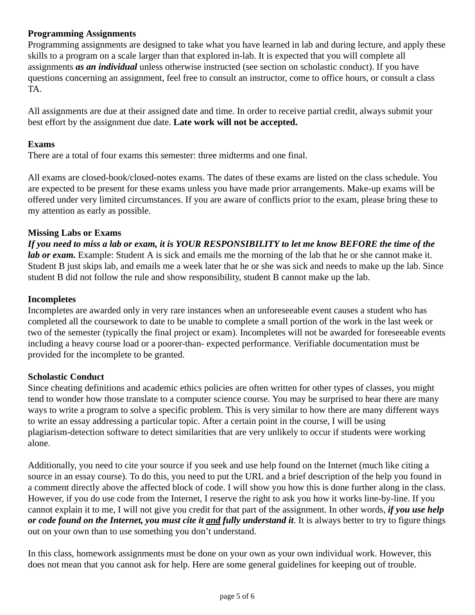## **Programming Assignments**

Programming assignments are designed to take what you have learned in lab and during lecture, and apply these skills to a program on a scale larger than that explored in-lab. It is expected that you will complete all assignments *as an individual* unless otherwise instructed (see section on scholastic conduct). If you have questions concerning an assignment, feel free to consult an instructor, come to office hours, or consult a class TA.

All assignments are due at their assigned date and time. In order to receive partial credit, always submit your best effort by the assignment due date. **Late work will not be accepted.**

#### **Exams**

There are a total of four exams this semester: three midterms and one final.

All exams are closed-book/closed-notes exams. The dates of these exams are listed on the class schedule. You are expected to be present for these exams unless you have made prior arrangements. Make-up exams will be offered under very limited circumstances. If you are aware of conflicts prior to the exam, please bring these to my attention as early as possible.

#### **Missing Labs or Exams**

*If you need to miss a lab or exam, it is YOUR RESPONSIBILITY to let me know BEFORE the time of the lab or exam.* Example: Student A is sick and emails me the morning of the lab that he or she cannot make it. Student B just skips lab, and emails me a week later that he or she was sick and needs to make up the lab. Since student B did not follow the rule and show responsibility, student B cannot make up the lab.

#### **Incompletes**

Incompletes are awarded only in very rare instances when an unforeseeable event causes a student who has completed all the coursework to date to be unable to complete a small portion of the work in the last week or two of the semester (typically the final project or exam). Incompletes will not be awarded for foreseeable events including a heavy course load or a poorer-than- expected performance. Verifiable documentation must be provided for the incomplete to be granted.

#### **Scholastic Conduct**

Since cheating definitions and academic ethics policies are often written for other types of classes, you might tend to wonder how those translate to a computer science course. You may be surprised to hear there are many ways to write a program to solve a specific problem. This is very similar to how there are many different ways to write an essay addressing a particular topic. After a certain point in the course, I will be using plagiarism-detection software to detect similarities that are very unlikely to occur if students were working alone.

Additionally, you need to cite your source if you seek and use help found on the Internet (much like citing a source in an essay course). To do this, you need to put the URL and a brief description of the help you found in a comment directly above the affected block of code. I will show you how this is done further along in the class. However, if you do use code from the Internet, I reserve the right to ask you how it works line-by-line. If you cannot explain it to me, I will not give you credit for that part of the assignment. In other words, *if you use help* or code found on the Internet, you must cite it and fully understand it. It is always better to try to figure things out on your own than to use something you don't understand.

In this class, homework assignments must be done on your own as your own individual work. However, this does not mean that you cannot ask for help. Here are some general guidelines for keeping out of trouble.